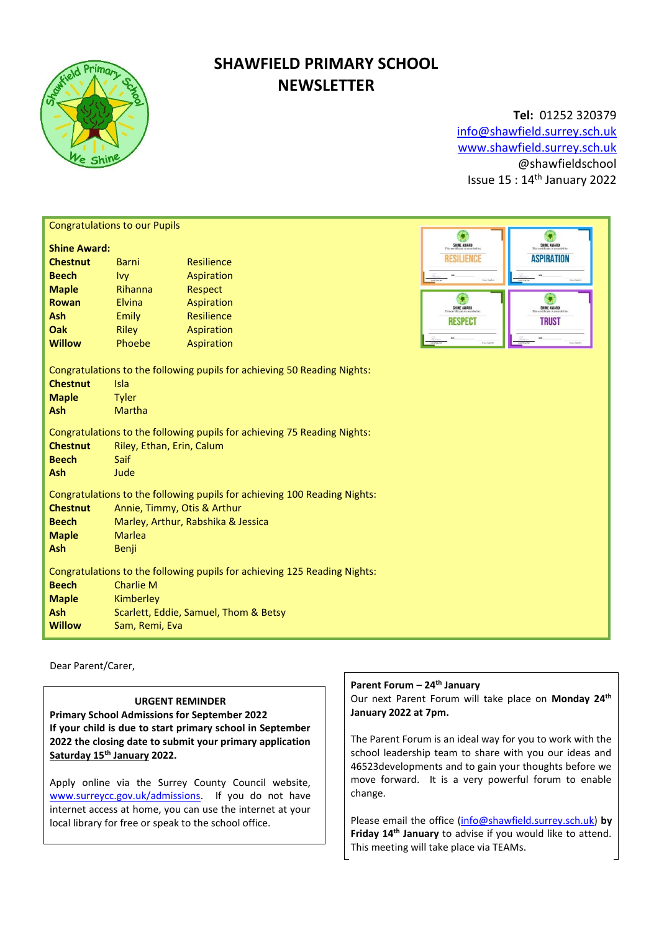

# **SHAWFIELD PRIMARY SCHOOL NEWSLETTER**

**Tel:** 01252 320379 [info@shawfield.surrey.sch.uk](mailto:info@shawfield.surrey.sch.uk) [www.shawfield.surrey.sch.uk](http://www.shawfield.surrey.sch.uk/) @shawfieldschool Issue 15 : 14th January 2022

| <b>Congratulations to our Pupils</b>                                                                                                                                                                                                      |              |            |  |                  |                   |  |
|-------------------------------------------------------------------------------------------------------------------------------------------------------------------------------------------------------------------------------------------|--------------|------------|--|------------------|-------------------|--|
| <b>Shine Award:</b>                                                                                                                                                                                                                       |              |            |  | SHINE AWARD      | SHINE AWARD       |  |
| <b>Chestnut</b>                                                                                                                                                                                                                           | Barni        | Resilience |  | RESILIENCE       | <b>ASPIRATION</b> |  |
| <b>Beech</b>                                                                                                                                                                                                                              | <b>Ivy</b>   | Aspiration |  |                  |                   |  |
| <b>Maple</b>                                                                                                                                                                                                                              | Rihanna      | Respect    |  |                  |                   |  |
| <b>Rowan</b>                                                                                                                                                                                                                              | Elvina       | Aspiration |  | C<br>SHINE AWARD | SHINE AWARD       |  |
| Ash                                                                                                                                                                                                                                       | <b>Emily</b> | Resilience |  | <b>RESPEC</b>    | <b>TRUST</b>      |  |
| Oak                                                                                                                                                                                                                                       | <b>Riley</b> | Aspiration |  |                  |                   |  |
| <b>Willow</b>                                                                                                                                                                                                                             | Phoebe       | Aspiration |  |                  |                   |  |
| Congratulations to the following pupils for achieving 50 Reading Nights:<br><b>Chestnut</b><br>Isla<br><b>Maple</b><br><b>Tyler</b><br>Ash<br><b>Martha</b>                                                                               |              |            |  |                  |                   |  |
| Congratulations to the following pupils for achieving 75 Reading Nights:<br><b>Chestnut</b><br>Riley, Ethan, Erin, Calum<br><b>Beech</b><br>Saif<br>Ash<br>Jude                                                                           |              |            |  |                  |                   |  |
| Congratulations to the following pupils for achieving 100 Reading Nights:<br><b>Chestnut</b><br>Annie, Timmy, Otis & Arthur<br>Marley, Arthur, Rabshika & Jessica<br><b>Beech</b><br><b>Maple</b><br><b>Marlea</b><br><b>Ash</b><br>Benji |              |            |  |                  |                   |  |
| Congratulations to the following pupils for achieving 125 Reading Nights:<br><b>Beech</b><br><b>Charlie M</b><br>Kimberley<br><b>Maple</b><br>Ash<br>Scarlett, Eddie, Samuel, Thom & Betsy<br><b>Willow</b><br>Sam, Remi, Eva             |              |            |  |                  |                   |  |

Dear Parent/Carer,

## **URGENT REMINDER**

**Primary School Admissions for September 2022 If your child is due to start primary school in September 2022 the closing date to submit your primary application Saturday 15th January 2022.**

Apply online via the Surrey County Council website, [www.surreycc.gov.uk/admissions.](http://www.surreycc.gov.uk/admissions) If you do not have internet access at home, you can use the internet at your local library for free or speak to the school office.

## **Parent Forum – 24th January**

Our next Parent Forum will take place on **Monday 24th January 2022 at 7pm.**

The Parent Forum is an ideal way for you to work with the school leadership team to share with you our ideas and 46523developments and to gain your thoughts before we move forward. It is a very powerful forum to enable change.

Please email the office [\(info@shawfield.surrey.sch.uk\)](mailto:info@shawfield.surrey.sch.uk) **by Friday 14th January** to advise if you would like to attend. This meeting will take place via TEAMs.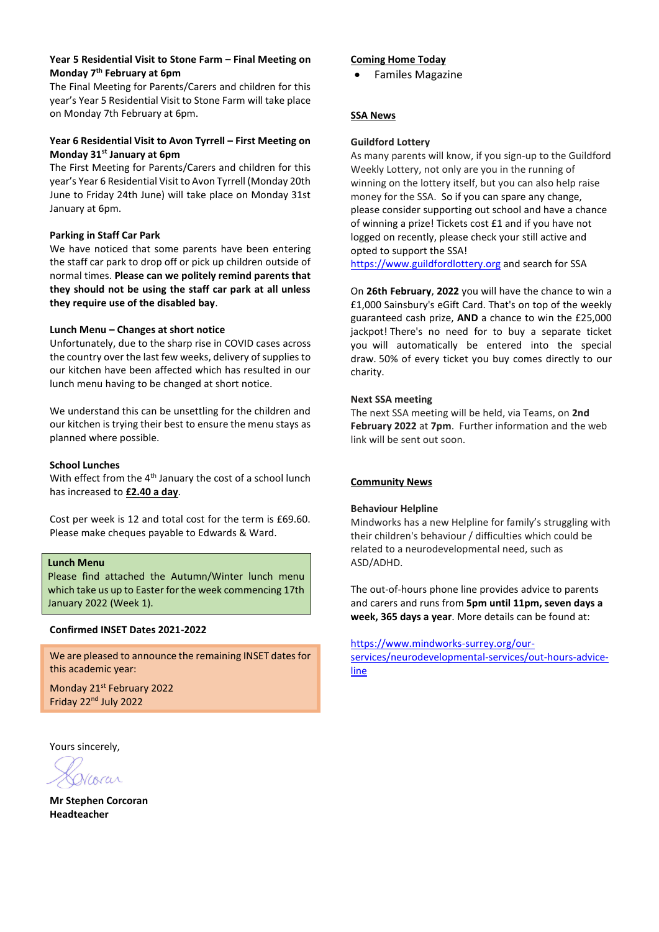## **Year 5 Residential Visit to Stone Farm – Final Meeting on Monday 7th February at 6pm**

The Final Meeting for Parents/Carers and children for this year's Year 5 Residential Visit to Stone Farm will take place on Monday 7th February at 6pm.

## **Year 6 Residential Visit to Avon Tyrrell – First Meeting on Monday 31st January at 6pm**

The First Meeting for Parents/Carers and children for this year's Year 6 Residential Visit to Avon Tyrrell (Monday 20th June to Friday 24th June) will take place on Monday 31st January at 6pm.

## **Parking in Staff Car Park**

We have noticed that some parents have been entering the staff car park to drop off or pick up children outside of normal times. **Please can we politely remind parents that they should not be using the staff car park at all unless they require use of the disabled bay**.

#### **Lunch Menu – Changes at short notice**

Unfortunately, due to the sharp rise in COVID cases across the country over the last few weeks, delivery of supplies to our kitchen have been affected which has resulted in our lunch menu having to be changed at short notice.

We understand this can be unsettling for the children and our kitchen is trying their best to ensure the menu stays as planned where possible.

#### **School Lunches**

With effect from the 4<sup>th</sup> January the cost of a school lunch has increased to **£2.40 a day**.

Cost per week is 12 and total cost for the term is £69.60. Please make cheques payable to Edwards & Ward.

## **Lunch Menu**

Please find attached the Autumn/Winter lunch menu which take us up to Easter for the week commencing 17th January 2022 (Week 1).

## **Confirmed INSET Dates 2021-2022**

We are pleased to announce the remaining INSET dates for this academic year:

Monday 21<sup>st</sup> February 2022 Friday 22<sup>nd</sup> July 2022

#### Yours sincerely,

Corar

**Mr Stephen Corcoran Headteacher**

#### **Coming Home Today**

• Familes Magazine

## **SSA News**

#### **Guildford Lottery**

As many parents will know, if you sign-up to the Guildford Weekly Lottery, not only are you in the running of winning on the lottery itself, but you can also help raise money for the SSA.So if you can spare any change, please consider supporting out school and have a chance of winning a prize! Tickets cost £1 and if you have not logged on recently, please check your still active and opted to support the SSA!

[https://www.guildfordlottery.org](https://www.guildfordlottery.org/) and search for SSA

On **26th February**, **2022** you will have the chance to win a £1,000 Sainsbury's eGift Card. That's on top of the weekly guaranteed cash prize, **AND** a chance to win the £25,000 jackpot! There's no need for to buy a separate ticket you will automatically be entered into the special draw. 50% of every ticket you buy comes directly to our charity.

#### **Next SSA meeting**

The next SSA meeting will be held, via Teams, on **2nd February 2022** at **7pm**. Further information and the web link will be sent out soon.

#### **Community News**

#### **Behaviour Helpline**

Mindworks has a new Helpline for family's struggling with their children's behaviour / difficulties which could be related to a neurodevelopmental need, such as ASD/ADHD.

The out-of-hours phone line provides advice to parents and carers and runs from **5pm until 11pm, seven days a week, 365 days a year**. More details can be found at:

[https://www.mindworks-surrey.org/our-](https://www.mindworks-surrey.org/our-services/neurodevelopmental-services/out-hours-advice-line)

[services/neurodevelopmental-services/out-hours-advice](https://www.mindworks-surrey.org/our-services/neurodevelopmental-services/out-hours-advice-line)[line](https://www.mindworks-surrey.org/our-services/neurodevelopmental-services/out-hours-advice-line)